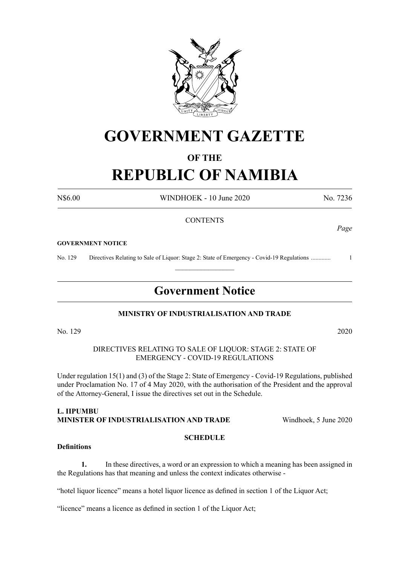

# **GOVERNMENT GAZETTE**

# **OF THE**

# **REPUBLIC OF NAMIBIA**

N\$6.00 WINDHOEK - 10 June 2020 No. 7236

### **CONTENTS**

#### **GOVERNMENT NOTICE**

No. 129 Directives Relating to Sale of Liquor: Stage 2: State of Emergency - Covid-19 Regulations ............. 1  $\frac{1}{2}$ 

# **Government Notice**

#### **MINISTRY OF INDUSTRIALISATION AND TRADE**

No. 129 2020

DIRECTIVES RELATING TO SALE OF LIQUOR: STAGE 2: STATE OF EMERGENCY - COVID-19 REGULATIONS

Under regulation 15(1) and (3) of the Stage 2: State of Emergency - Covid-19 Regulations, published under Proclamation No. 17 of 4 May 2020, with the authorisation of the President and the approval of the Attorney-General, I issue the directives set out in the Schedule.

# **L. IIPUMBU MINISTER OF INDUSTRIALISATION AND TRADE** Windhoek, 5 June 2020

#### **SCHEDULE**

### **Definitions**

**1.** In these directives, a word or an expression to which a meaning has been assigned in the Regulations has that meaning and unless the context indicates otherwise -

"hotel liquor licence" means a hotel liquor licence as defined in section 1 of the Liquor Act;

"licence" means a licence as defined in section 1 of the Liquor Act;

*Page*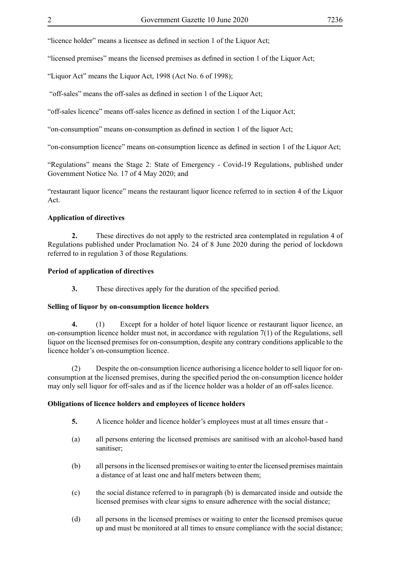"licence holder" means a licensee as defined in section 1 of the Liquor Act;

"licensed premises" means the licensed premises as defined in section 1 of the Liquor Act;

"Liquor Act" means the Liquor Act, 1998 (Act No. 6 of 1998);

"off-sales" means the off-sales as defined in section 1 of the Liquor Act;

"off-sales licence" means off-sales licence as defined in section 1 of the Liquor Act;

"on-consumption" means on-consumption as defined in section 1 of the liquor Act;

"on-consumption licence" means on-consumption licence as defined in section 1 of the Liquor Act;

"Regulations" means the Stage 2: State of Emergency - Covid-19 Regulations, published under Government Notice No. 17 of 4 May 2020; and

"restaurant liquor licence" means the restaurant liquor licence referred to in section 4 of the Liquor Act.

#### **Application of directives**

**2.** These directives do not apply to the restricted area contemplated in regulation 4 of Regulations published under Proclamation No. 24 of 8 June 2020 during the period of lockdown referred to in regulation 3 of those Regulations.

#### **Period of application of directives**

**3.** These directives apply for the duration of the specified period.

#### **Selling of liquor by on-consumption licence holders**

**4.** (1) Except for a holder of hotel liquor licence or restaurant liquor licence, an on-consumption licence holder must not, in accordance with regulation 7(1) of the Regulations, sell liquor on the licensed premises for on-consumption, despite any contrary conditions applicable to the licence holder's on-consumption licence.

(2) Despite the on-consumption licence authorising a licence holder to sell liquor for onconsumption at the licensed premises, during the specified period the on-consumption licence holder may only sell liquor for off-sales and as if the licence holder was a holder of an off-sales licence.

#### **Obligations of licence holders and employees of licence holders**

- **5.** A licence holder and licence holder's employees must at all times ensure that -
- (a) all persons entering the licensed premises are sanitised with an alcohol-based hand sanitiser;
- (b) all persons in the licensed premises or waiting to enter the licensed premises maintain a distance of at least one and half meters between them;
- (c) the social distance referred to in paragraph (b) is demarcated inside and outside the licensed premises with clear signs to ensure adherence with the social distance;
- (d) all persons in the licensed premises or waiting to enter the licensed premises queue up and must be monitored at all times to ensure compliance with the social distance;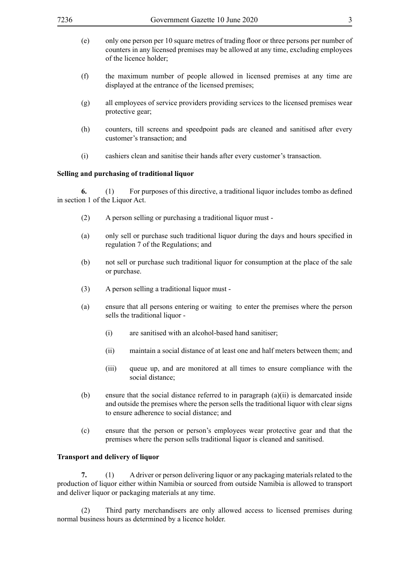- (e) only one person per 10 square metres of trading floor or three persons per number of counters in any licensed premises may be allowed at any time, excluding employees of the licence holder;
- (f) the maximum number of people allowed in licensed premises at any time are displayed at the entrance of the licensed premises;
- (g) all employees of service providers providing services to the licensed premises wear protective gear;
- (h) counters, till screens and speedpoint pads are cleaned and sanitised after every customer's transaction; and
- (i) cashiers clean and sanitise their hands after every customer's transaction.

#### **Selling and purchasing of traditional liquor**

**6.** (1) For purposes of this directive, a traditional liquor includes tombo as defined in section 1 of the Liquor Act.

- (2) A person selling or purchasing a traditional liquor must -
- (a) only sell or purchase such traditional liquor during the days and hours specified in regulation 7 of the Regulations; and
- (b) not sell or purchase such traditional liquor for consumption at the place of the sale or purchase.
- (3) A person selling a traditional liquor must -
- (a) ensure that all persons entering or waiting to enter the premises where the person sells the traditional liquor -
	- (i) are sanitised with an alcohol-based hand sanitiser;
	- (ii) maintain a social distance of at least one and half meters between them; and
	- (iii) queue up, and are monitored at all times to ensure compliance with the social distance;
- (b) ensure that the social distance referred to in paragraph (a)(ii) is demarcated inside and outside the premises where the person sells the traditional liquor with clear signs to ensure adherence to social distance; and
- (c) ensure that the person or person's employees wear protective gear and that the premises where the person sells traditional liquor is cleaned and sanitised.

#### **Transport and delivery of liquor**

**7.** (1) A driver or person delivering liquor or any packaging materials related to the production of liquor either within Namibia or sourced from outside Namibia is allowed to transport and deliver liquor or packaging materials at any time.

(2) Third party merchandisers are only allowed access to licensed premises during normal business hours as determined by a licence holder.